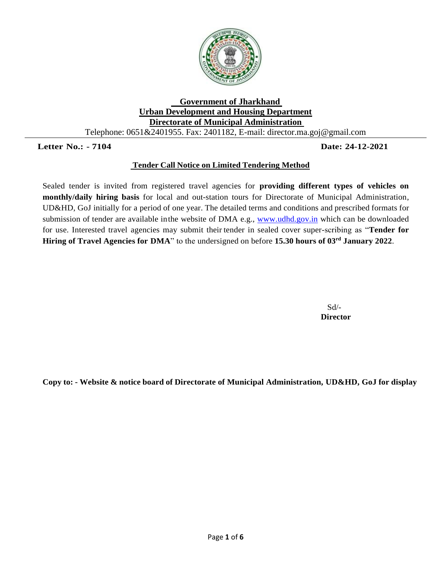

## **Government of Jharkhand Urban Development and Housing Department Directorate of Municipal Administration**  Telephone: 0651&2401955. Fax: 2401182, E-mail: director.ma.goj@gmail.com

# **Letter No.: - 7104 Date: 24-12-2021**

# **Tender Call Notice on Limited Tendering Method**

Sealed tender is invited from registered travel agencies for **providing different types of vehicles on monthly/daily hiring basis** for local and out-station tours for Directorate of Municipal Administration, UD&HD, GoJ initially for a period of one year. The detailed terms and conditions and prescribed formats for submission of tender are available in the website of DMA e.g., [www.udhd.gov.in](http://www.udhd.gov.in/) which can be downloaded for use. Interested travel agencies may submit their tender in sealed cover super-scribing as "**Tender for Hiring of Travel Agencies for DMA**" to the undersigned on before **15.30 hours of 03rd January 2022**.

> Sd/-  **Director**

**Copy to: - Website & notice board of Directorate of Municipal Administration, UD&HD, GoJ for display**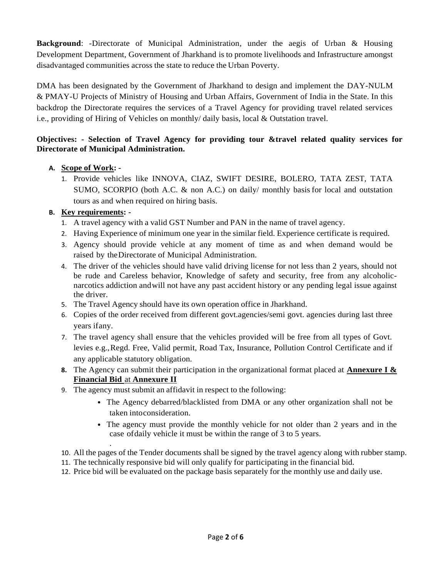**Background**: -Directorate of Municipal Administration, under the aegis of Urban & Housing Development Department, Government of Jharkhand is to promote livelihoods and Infrastructure amongst disadvantaged communities across the state to reduce the Urban Poverty.

DMA has been designated by the Government of Jharkhand to design and implement the DAY-NULM & PMAY-U Projects of Ministry of Housing and Urban Affairs, Government of India in the State. In this backdrop the Directorate requires the services of a Travel Agency for providing travel related services i.e., providing of Hiring of Vehicles on monthly/ daily basis, local & Outstation travel.

# **Objectives: - Selection of Travel Agency for providing tour &travel related quality services for Directorate of Municipal Administration.**

# **A. Scope of Work: -**

1. Provide vehicles like INNOVA, CIAZ, SWIFT DESIRE, BOLERO, TATA ZEST, TATA SUMO, SCORPIO (both A.C. & non A.C.) on daily/ monthly basis for local and outstation tours as and when required on hiring basis.

# **B. Key requirements: -**

.

- 1. A travel agency with a valid GST Number and PAN in the name of travel agency.
- 2. Having Experience of minimum one year in the similar field. Experience certificate is required.
- 3. Agency should provide vehicle at any moment of time as and when demand would be raised by theDirectorate of Municipal Administration.
- 4. The driver of the vehicles should have valid driving license for not less than 2 years, should not be rude and Careless behavior, Knowledge of safety and security, free from any alcoholicnarcotics addiction andwill not have any past accident history or any pending legal issue against the driver.
- 5. The Travel Agency should have its own operation office in Jharkhand.
- 6. Copies of the order received from different govt.agencies/semi govt. agencies during last three years ifany.
- 7. The travel agency shall ensure that the vehicles provided will be free from all types of Govt. levies e.g.,Regd. Free, Valid permit, Road Tax, Insurance, Pollution Control Certificate and if any applicable statutory obligation.
- **8.** The Agency can submit their participation in the organizational format placed at **Annexure I & Financial Bid** at **Annexure II**
- 9. The agency must submit an affidavit in respect to the following:
	- The Agency debarred/blacklisted from DMA or any other organization shall not be taken intoconsideration.
	- The agency must provide the monthly vehicle for not older than 2 years and in the case ofdaily vehicle it must be within the range of 3 to 5 years.
- 10. All the pages of the Tender documents shall be signed by the travel agency along with rubber stamp.
- 11. The technically responsive bid will only qualify for participating in the financial bid.
- 12. Price bid will be evaluated on the package basis separately for the monthly use and daily use.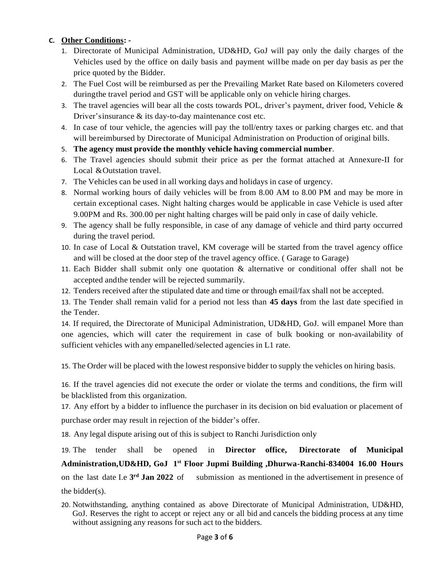# **C. Other Conditions: -**

- 1. Directorate of Municipal Administration, UD&HD, GoJ will pay only the daily charges of the Vehicles used by the office on daily basis and payment willbe made on per day basis as per the price quoted by the Bidder.
- 2. The Fuel Cost will be reimbursed as per the Prevailing Market Rate based on Kilometers covered duringthe travel period and GST will be applicable only on vehicle hiring charges.
- 3. The travel agencies will bear all the costs towards POL, driver's payment, driver food, Vehicle  $\&$ Driver'sinsurance & its day-to-day maintenance cost etc.
- 4. In case of tour vehicle, the agencies will pay the toll/entry taxes or parking charges etc. and that will bereimbursed by Directorate of Municipal Administration on Production of original bills.
- 5. **The agency must provide the monthly vehicle having commercial number**.
- 6. The Travel agencies should submit their price as per the format attached at Annexure-II for Local & Outstation travel.
- 7. The Vehicles can be used in all working days and holidays in case of urgency.
- 8. Normal working hours of daily vehicles will be from 8.00 AM to 8.00 PM and may be more in certain exceptional cases. Night halting charges would be applicable in case Vehicle is used after 9.00PM and Rs. 300.00 per night halting charges will be paid only in case of daily vehicle.
- 9. The agency shall be fully responsible, in case of any damage of vehicle and third party occurred during the travel period.
- 10. In case of Local & Outstation travel, KM coverage will be started from the travel agency office and will be closed at the door step of the travel agency office. ( Garage to Garage)
- 11. Each Bidder shall submit only one quotation & alternative or conditional offer shall not be accepted andthe tender will be rejected summarily.
- 12. Tenders received after the stipulated date and time or through email/fax shall not be accepted.

13. The Tender shall remain valid for a period not less than **45 days** from the last date specified in the Tender.

14. If required, the Directorate of Municipal Administration, UD&HD, GoJ. will empanel More than one agencies, which will cater the requirement in case of bulk booking or non-availability of sufficient vehicles with any empanelled/selected agencies in L1 rate.

15. The Order will be placed with the lowest responsive bidder to supply the vehicles on hiring basis.

16. If the travel agencies did not execute the order or violate the terms and conditions, the firm will be blacklisted from this organization.

17. Any effort by a bidder to influence the purchaser in its decision on bid evaluation or placement of purchase order may result in rejection of the bidder's offer.

18. Any legal dispute arising out of this is subject to Ranchi Jurisdiction only

19. The tender shall be opened in **Director office, Directorate of Municipal Administration,UD&HD, GoJ 1 st Floor Jupmi Building ,Dhurwa-Ranchi-834004 16.00 Hours** on the last date I.e **3** submission as mentioned in the advertisement in presence of the bidder(s).

20. Notwithstanding, anything contained as above Directorate of Municipal Administration, UD&HD, GoJ. Reserves the right to accept or reject any or all bid and cancels the bidding process at any time without assigning any reasons for such act to the bidders.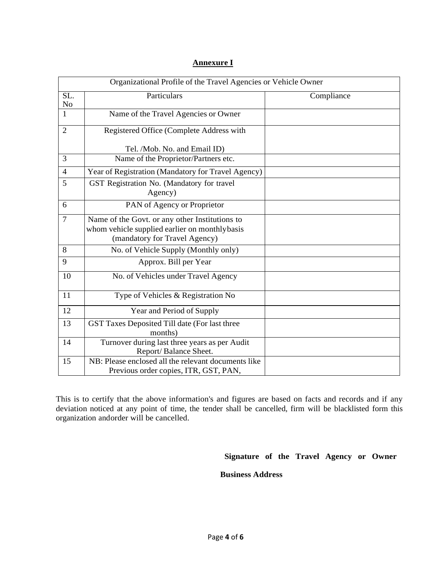| Organizational Profile of the Travel Agencies or Vehicle Owner |                                                                                                                                  |            |  |  |  |
|----------------------------------------------------------------|----------------------------------------------------------------------------------------------------------------------------------|------------|--|--|--|
| SL.<br>No                                                      | Particulars                                                                                                                      | Compliance |  |  |  |
| $\mathbf{1}$                                                   | Name of the Travel Agencies or Owner                                                                                             |            |  |  |  |
| $\overline{2}$                                                 | Registered Office (Complete Address with                                                                                         |            |  |  |  |
|                                                                | Tel. /Mob. No. and Email ID)                                                                                                     |            |  |  |  |
| 3                                                              | Name of the Proprietor/Partners etc.                                                                                             |            |  |  |  |
| $\overline{4}$                                                 | Year of Registration (Mandatory for Travel Agency)                                                                               |            |  |  |  |
| 5                                                              | GST Registration No. (Mandatory for travel<br>Agency)                                                                            |            |  |  |  |
| 6                                                              | PAN of Agency or Proprietor                                                                                                      |            |  |  |  |
| $\overline{7}$                                                 | Name of the Govt. or any other Institutions to<br>whom vehicle supplied earlier on monthlybasis<br>(mandatory for Travel Agency) |            |  |  |  |
| 8                                                              | No. of Vehicle Supply (Monthly only)                                                                                             |            |  |  |  |
| 9                                                              | Approx. Bill per Year                                                                                                            |            |  |  |  |
| 10                                                             | No. of Vehicles under Travel Agency                                                                                              |            |  |  |  |
| 11                                                             | Type of Vehicles & Registration No                                                                                               |            |  |  |  |
| 12                                                             | Year and Period of Supply                                                                                                        |            |  |  |  |
| 13                                                             | GST Taxes Deposited Till date (For last three<br>months)                                                                         |            |  |  |  |
| 14                                                             | Turnover during last three years as per Audit<br>Report/Balance Sheet.                                                           |            |  |  |  |
| 15                                                             | NB: Please enclosed all the relevant documents like<br>Previous order copies, ITR, GST, PAN,                                     |            |  |  |  |

# **Annexure I**

This is to certify that the above information's and figures are based on facts and records and if any deviation noticed at any point of time, the tender shall be cancelled, firm will be blacklisted form this organization andorder will be cancelled.

# **Signature of the Travel Agency or Owner**

#### **Business Address**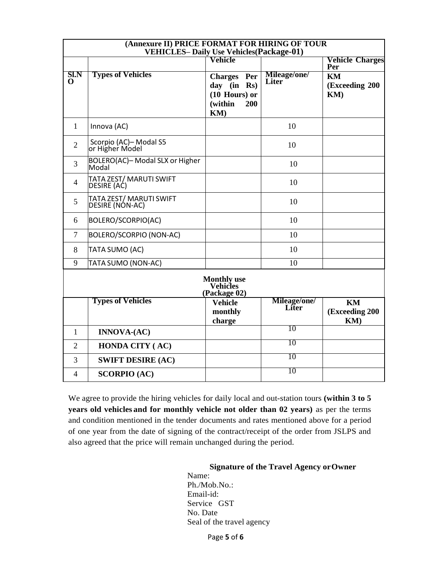| (Annexure II) PRICE FORMAT FOR HIRING OF TOUR<br><b>VEHICLES-Daily Use Vehicles (Package-01)</b> |                                             |                                                                               |                       |                                           |  |  |
|--------------------------------------------------------------------------------------------------|---------------------------------------------|-------------------------------------------------------------------------------|-----------------------|-------------------------------------------|--|--|
|                                                                                                  |                                             | Vehicle                                                                       |                       | <b>Vehicle Charges</b>                    |  |  |
| SI.N<br>0                                                                                        | <b>Types of Vehicles</b>                    | <b>Charges</b> Per<br>day (in Rs)<br>$(10$ Hours) or<br>(within<br>200<br>KM) | Mileage/one/<br>Liter | Per<br><b>KM</b><br>(Exceeding 200<br>KM) |  |  |
| $\mathbf{1}$                                                                                     | Innova (AC)                                 |                                                                               | 10                    |                                           |  |  |
| $\overline{2}$                                                                                   | Scorpio (AC)-Modal S5<br>or Higher Model    |                                                                               | 10                    |                                           |  |  |
| 3                                                                                                | BOLERO(AC)-Modal SLX or Higher<br>Modal     |                                                                               | 10                    |                                           |  |  |
| 4                                                                                                | TATA ZEST/ MARUTI SWIFT<br>DESIRE (AC)      |                                                                               | 10                    |                                           |  |  |
| 5                                                                                                | TATA ZEST/ MARUTI SWIFT<br> DESIRE (NON-AC) |                                                                               | 10                    |                                           |  |  |
| 6                                                                                                | BOLERO/SCORPIO(AC)                          |                                                                               | 10                    |                                           |  |  |
| $\overline{7}$                                                                                   | BOLERO/SCORPIO (NON-AC)                     |                                                                               | 10                    |                                           |  |  |
| 8                                                                                                | <b>TATA SUMO (AC)</b>                       |                                                                               | 10                    |                                           |  |  |
| 9                                                                                                | TATA SUMO (NON-AC)                          |                                                                               | 10                    |                                           |  |  |
| <b>Monthly use</b><br><b>Vehicles</b><br>(Package 02)                                            |                                             |                                                                               |                       |                                           |  |  |
|                                                                                                  | <b>Types of Vehicles</b>                    | <b>Vehicle</b><br>monthly<br>charge                                           | Mileage/one/<br>Liter | KM<br>(Exceeding 200<br>KM)               |  |  |
| 1                                                                                                | <b>INNOVA-(AC)</b>                          |                                                                               | 10                    |                                           |  |  |
| $\overline{2}$                                                                                   | <b>HONDA CITY (AC)</b>                      |                                                                               | 10                    |                                           |  |  |
| 3                                                                                                | <b>SWIFT DESIRE (AC)</b>                    |                                                                               | 10                    |                                           |  |  |
| 4                                                                                                | <b>SCORPIO (AC)</b>                         |                                                                               | 10                    |                                           |  |  |

We agree to provide the hiring vehicles for daily local and out-station tours **(within 3 to 5 years old vehicles and for monthly vehicle not older than 02 years)** as per the terms and condition mentioned in the tender documents and rates mentioned above for a period of one year from the date of signing of the contract/receipt of the order from JSLPS and also agreed that the price will remain unchanged during the period.

#### **Signature of the Travel Agency orOwner**

Name: Ph./Mob.No.: Email-id: Service GST No. Date Seal of the travel agency

Page **5** of **6**